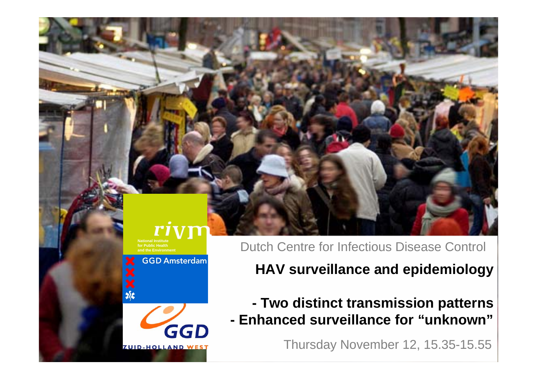#### r1 **National Institutefor Public Healthand the Environment**

**GGD Amsterdam** 

GGD **ZUID-HOLLAND WEST** 

Dutch Centre for Infectious Disease Control

**HAV surveillance and epidemiology** 

**- Two distinct transmission patterns - Enhanced surveillance for "unknown"**

Thursday November 12, 15.35-15.55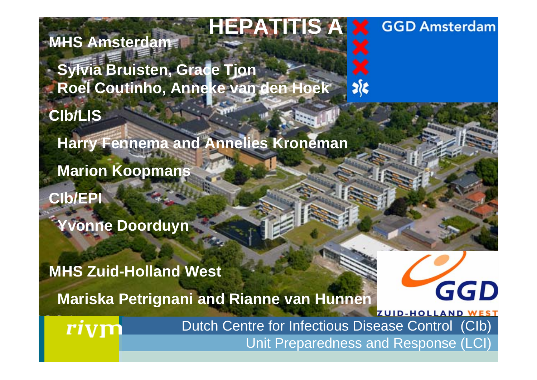## **HEPATITIS A**

**MHS Amsterdam**

**Sylvia Bruisten, Grace Tjon Roel Coutinho, Anneke van den Hoek**

**CIb/LIS**

**Harry Fennema and Annelies Kroneman**

**Marion Koopmans**

**CIb/EPI**

**Yvonne Doorduyn**

**MHS Zuid-Holland West Mariska Petrignani and Rianne van Hunnen**

> Dutch Centre for Infectious Disease Control (CIb) Unit Preparedness and Response (LCI)

श्रीह

GGD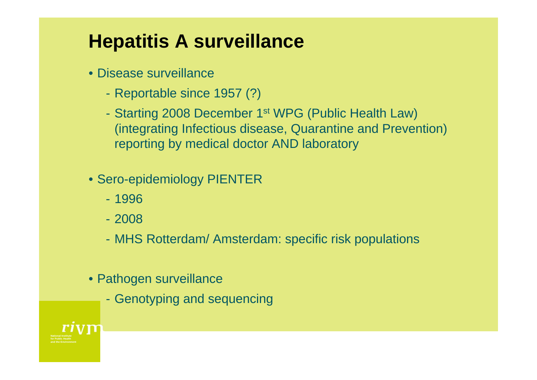## **Hepatitis A surveillance**

- Disease surveillance
	- Reportable since 1957 (?)
	- Starting 2008 December 1st WPG (Public Health Law) (integrating Infectious disease, Quarantine and Prevention) reporting by medical doctor AND laboratory
- Sero-epidemiology PIENTER
	- 1996
	- 2008
	- MHS Rotterdam/ Amsterdam: specific risk populations
- Pathogen surveillance
	- Genotyping and sequencing

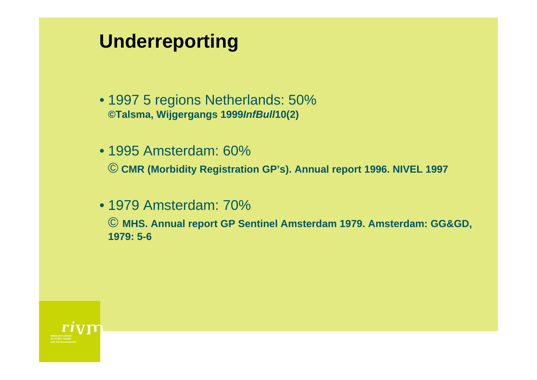### **Underreporting**

- 1997 5 regions Netherlands: 50% **©Talsma, Wijgergangs 1999***InfBull***10(2)**
- 1995 Amsterdam: 60% *©* **CMR (Morbidity Registration GP's). Annual report 1996. NIVEL 1997**
- 1979 Amsterdam: 70%

© **MHS. Annual report GP Sentinel Amsterdam 1979. Amsterdam: GG&GD, 1979: 5-6**

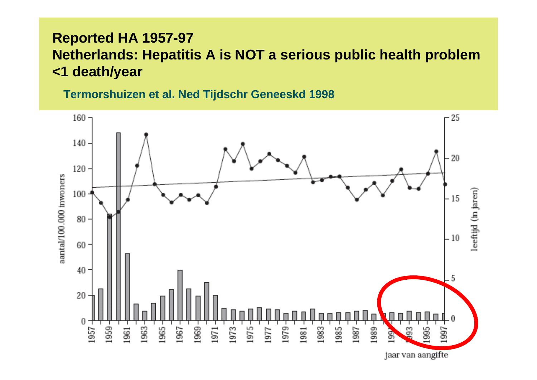### **Reported HA 1957-97 Netherlands: Hepatitis A is NOT a serious public health problem <1 death/year**

**Termorshuizen et al. Ned Tijdschr Geneeskd 1998**

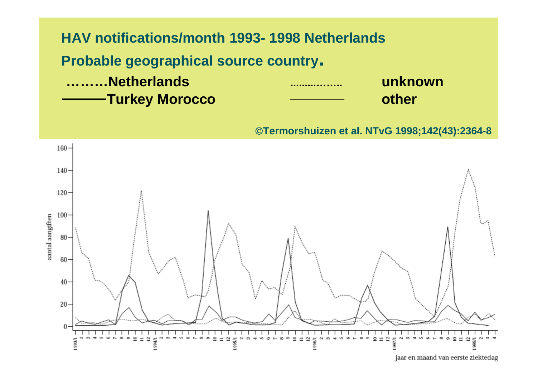

©**Termorshuizen et al. NTvG 1998;142(43):2364-8**

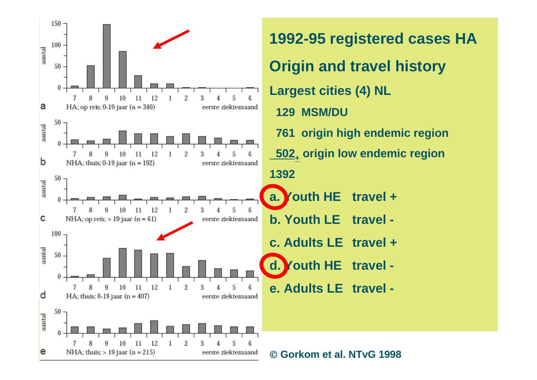

**1992-95 registered cases HA Origin and travel history Largest cities (4) NL 129 MSM/DU761 origin high endemic region 502.** origin low endemic region **a.** Youth HE travel + **b. Youth LE travel c. Adults LE travel +d. Youth HE travel e. Adults LE travel -**

©**Gorkom et al. NTvG 1998**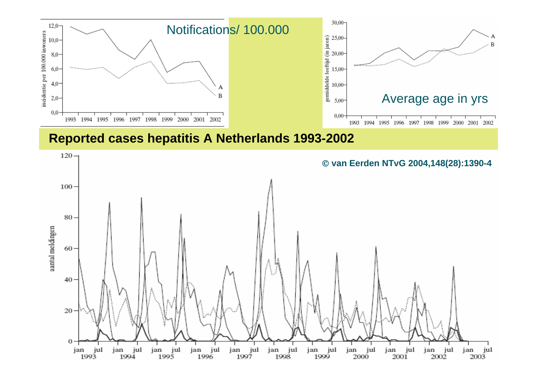

#### **Reported cases hepatitis A Netherlands 1993-2002**

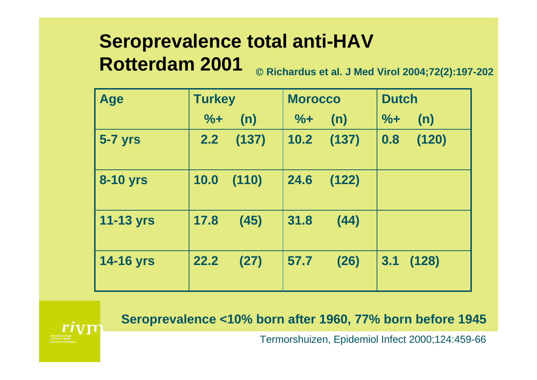## **Seroprevalence total anti-HAV Rotterdam 2001**

© **Richardus et al. J Med Virol 2004;72(2):197-202**

| <b>Age</b>       | <b>Turkey</b> | <b>Morocco</b>       | <b>Dutch</b> |  |
|------------------|---------------|----------------------|--------------|--|
|                  | $%+$<br>(n)   | (n)<br>$\frac{9}{6}$ | $%+$<br>(n)  |  |
| <b>5-7 yrs</b>   | 2.2<br>(137)  | $10.2$ (137)         | 0.8<br>(120) |  |
| <b>8-10 yrs</b>  | 10.0<br>(110) | 24.6<br>(122)        |              |  |
| <b>11-13 yrs</b> | 17.8<br>(45)  | 31.8<br>(44)         |              |  |
| <b>14-16 yrs</b> | 22.2<br>(27)  | 57.7<br>(26)         | 3.1<br>(128) |  |

**Seroprevalence <10% born after 1960, 77% born before 1945**

Termorshuizen, Epidemiol Infect 2000;124:459-66

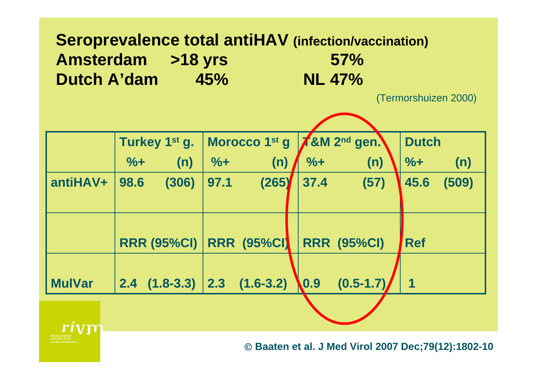### **Seroprevalence total antiHAV (infection/vaccination) Amsterdam >18 yrs 57% Dutch A'dam 45% NL 47%**

(Termorshuizen 2000)

|               |               | Turkey 1 <sup>st</sup> g. |       | Morocco 1 <sup>st</sup> g     |                  | $\chi$ &M 2 <sup>nd</sup> gen. | <b>Dutch</b> |       |
|---------------|---------------|---------------------------|-------|-------------------------------|------------------|--------------------------------|--------------|-------|
|               | $\frac{9}{6}$ | (n)                       | $% +$ | (n)                           | $% +$            | (n)                            | $% +$        | (n)   |
| antiHAV+      | 98.6          | (306)                     | 97.1  | (265)                         | 37.4             | (57)                           | 45.6         | (509) |
|               |               |                           |       |                               |                  |                                |              |       |
|               |               |                           |       |                               |                  |                                |              |       |
|               |               | <b>RRR (95%CI)  </b>      |       | <b>RRR (95%CI)</b>            |                  | <b>RRR (95%CI)</b>             | <b>Ref</b>   |       |
|               |               |                           |       |                               |                  |                                |              |       |
| <b>MulVar</b> |               |                           |       | $2.4$ (1.8-3.3) 2.3 (1.6-3.2) | $\overline{0.9}$ | $(0.5 - 1.7)$                  |              |       |
|               |               |                           |       |                               |                  |                                |              |       |
|               |               |                           |       |                               |                  |                                |              |       |



© **Baaten et al. J Med Virol 2007 Dec;79(12):1802-10**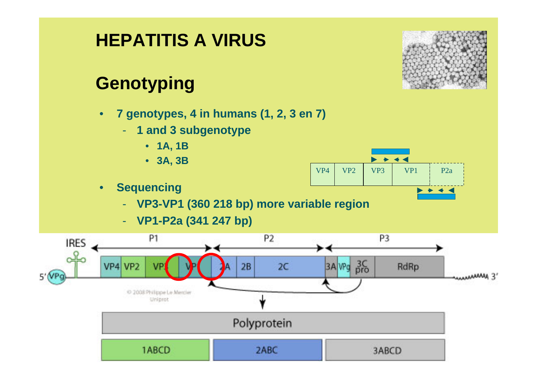# **HEPATITIS A VIRUS**

### **Genotyping**

- **7 genotypes, 4 in humans (1, 2, 3 en 7)**
	- **1 and 3 subgenotype**
		- **1A, 1B**
		- **3A, 3B**
- **Sequencing** 
	- **VP3-VP1 (360 218 bp) more variable region**
	- **VP1-P2a (341 247 bp)**



VP4



 $VP2$  VP3 VP1 P2a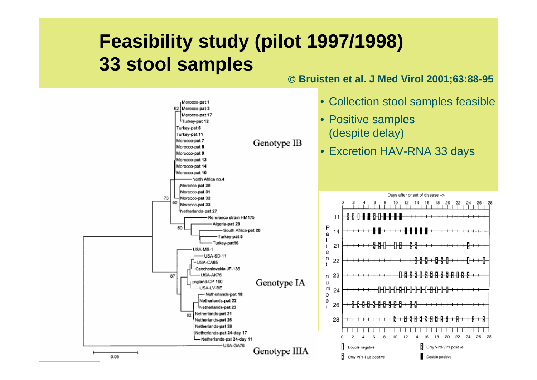### **Feasibility study (pilot 1997/1998) 33 stool samples**

#### © **Bruisten et al. J Med Virol 2001;63:88-95**

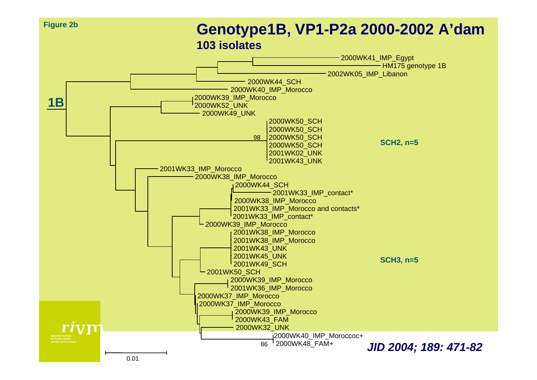

#### **Genotype1B, VP1-P2a 2000-2002 A'dam 103 isolates**

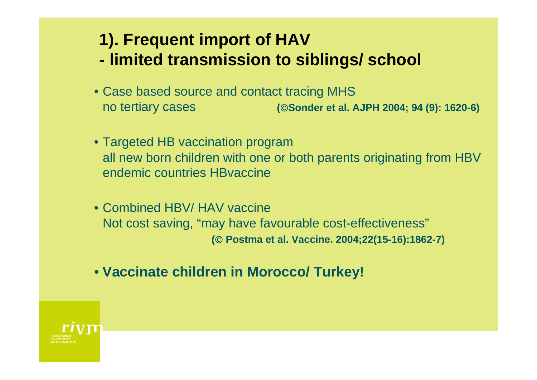### **1). Frequent import of HAV - limited transmission to siblings/ school**

- Case based source and contact tracing MHS no tertiary cases **(**©**Sonder et al. AJPH 2004; 94 (9): 1620-6)**
- Targeted HB vaccination program all new born children with one or both parents originating from HBV endemic countries HBvaccine
- Combined HBV/ HAV vaccine Not cost saving, "may have favourable cost-effectiveness" **(**© **Postma et al. Vaccine. 2004;22(15-16):1862-7)**
- **Vaccinate children in Morocco/ Turkey!**

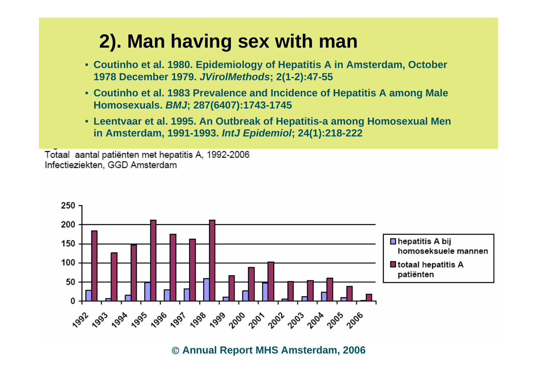## **2). Man having sex with man**

- **Coutinho et al. 1980. Epidemiology of Hepatitis A in Amsterdam, October 1978 December 1979.** *JVirolMethods***; 2(1-2):47-55**
- **Coutinho et al. 1983 Prevalence and Incidence of Hepatitis A among Male Homosexuals.** *BMJ***; 287(6407):1743-1745**
- **Leentvaar et al. 1995. An Outbreak of Hepatitis-a among Homosexual Men in Amsterdam, 1991-1993.** *IntJ Epidemiol***; 24(1):218-222**

Totaal aantal patiënten met hepatitis A, 1992-2006 Infectieziekten, GGD Amsterdam



© **Annual Report MHS Amsterdam, 2006**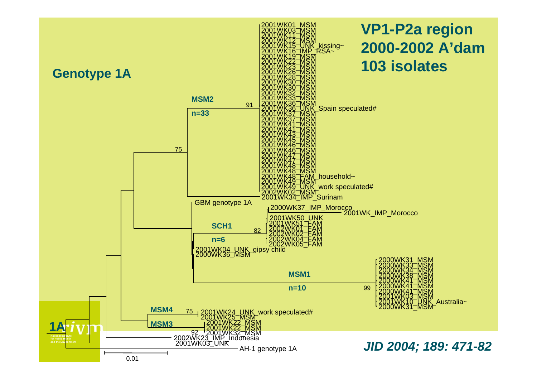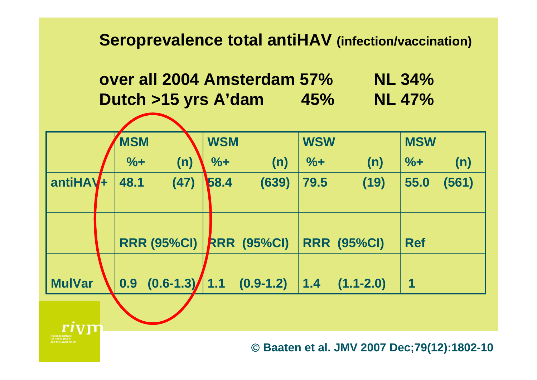### **Seroprevalence total antiHAV (infection/vaccination)**



|               | <b>MSM</b>       |                    | <b>WSM</b> |                    | <b>WSW</b> |                    | <b>MSW</b> |       |
|---------------|------------------|--------------------|------------|--------------------|------------|--------------------|------------|-------|
|               | $\% +$           | (n)                | $% +$      | (n)                | $% +$      | (n)                | $% +$      | (n)   |
| $antiHAV+$    | 48.1             | (47)               | 58.4       | (639)              | 79.5       | (19)               | 55.0       | (561) |
|               |                  |                    |            |                    |            |                    |            |       |
|               |                  | <b>RRR (95%CI)</b> |            | <b>RRR (95%CI)</b> |            | <b>RRR (95%CI)</b> | <b>Ref</b> |       |
| <b>MulVar</b> | 0.9 <sub>•</sub> | $(0.6 - 1.3)$      | 1.1        | $(0.9-1.2)$        | $1.4$      | $(1.1 - 2.0)$      | 1          |       |
|               |                  |                    |            |                    |            |                    |            |       |



© **Baaten et al. JMV 2007 Dec;79(12):1802-10**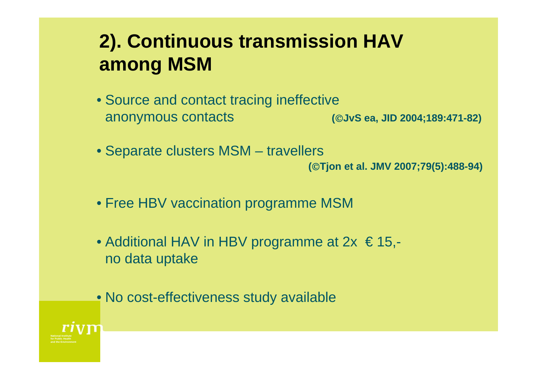## **2). Continuous transmission HAV among MSM**

- Source and contact tracing ineffective anonymous contacts **(**©**JvS ea, JID 2004;189:471-82)**
- Separate clusters MSM travellers

**(**©**Tjon et al. JMV 2007;79(5):488-94)**

- Free HBV vaccination programme MSM
- Additional HAV in HBV programme at  $2x \le 15$ ,no data uptake
- No cost-effectiveness study available

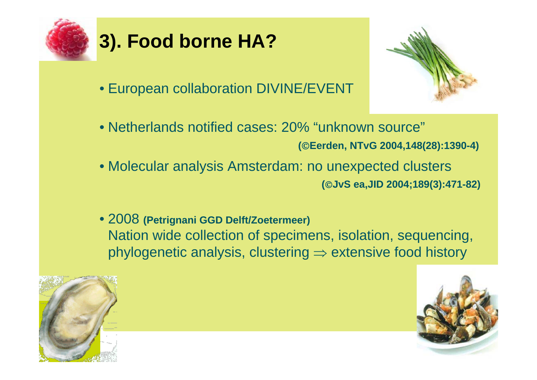

## **3). Food borne HA?**

• European collaboration DIVINE/EVENT



- Molecular analysis Amsterdam: no unexpected clusters **(**©**JvS ea,JID 2004;189(3):471-82)**
- 2008 **(Petrignani GGD Delft/Zoetermeer)**  Nation wide collection of specimens, isolation, sequencing, phylogenetic analysis, clustering  $\Rightarrow$  extensive food history



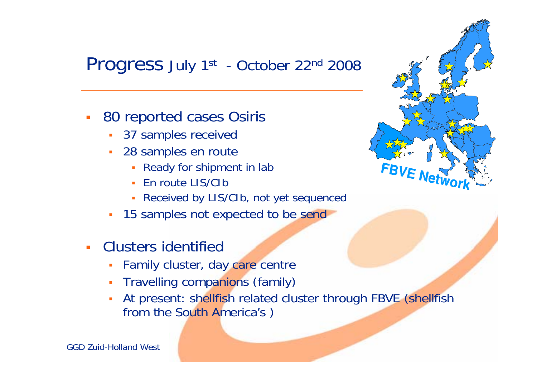### Progress July 1<sup>st</sup> - October 22<sup>nd</sup> 2008

- $\mathcal{L}_{\mathcal{A}}$  80 reported cases Osiris
	- 37 samples received
	- П 28 samples en route
		- П Ready for shipment in lab
		- En route LIS/CIb
		- Π Received by LIS/CIb, not yet sequenced
	- $\overline{\phantom{a}}$ 15 samples not expected to be send
- $\mathcal{L}_{\text{eff}}$  Clusters identified
	- П Family cluster, day care centre
	- П Travelling companions (family)
	- П At present: shellfish related cluster through FBVE (shellfish from the South America's )



GGD Zuid-Holland West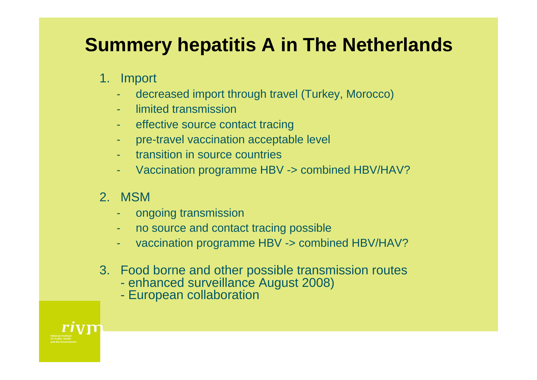## **Summery hepatitis A in The Netherlands**

### 1. Import

- decreased import through travel (Turkey, Morocco)
- limited transmission
- effective source contact tracing
- pre-travel vaccination acceptable level
- transition in source countries
- Vaccination programme HBV -> combined HBV/HAV?
- 2. MSM
	- ongoing transmission
	- no source and contact tracing possible
	- vaccination programme HBV -> combined HBV/HAV?
- 3. Food borne and other possible transmission routes
	- enhanced surveillance August 2008)
	- European collaboration

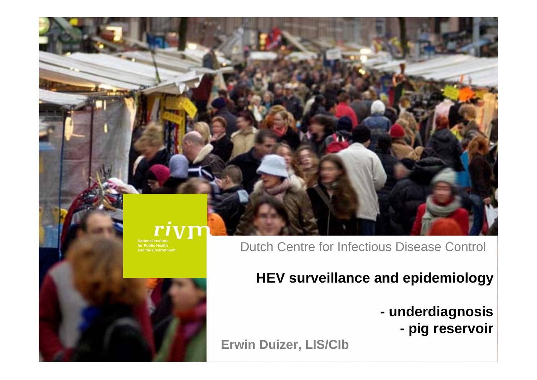#### Dutch Centre for Infectious Disease Control

### **HEV surveillance and epidemiology**

- **underdiagnosis** 
	- **pig reservoir**

**Erwin Duizer, LIS/CIb**



**National Institute for Public Healthand the Environment**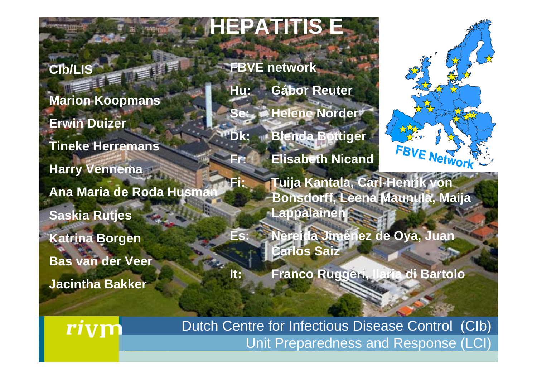## **HEPATITIS E**

### **CIb/LIS**

**Marion Koopmans Erwin Duizer Tineke Herremans Harry Vennema Ana Maria de Roda Husman Saskia Rutjes Katrina Borgen Bas van der Veer Jacintha Bakker**

**FBVE network Hu: Gábor Reuter Se: Helene Norder Dk: Blenda Bottiger** FBVE Network **Fr: Elisabeth Nicand Fi: Tuija Kantala, Carl-Henrik von Bonsdorff, Leena Maunula, Maija Lappalainen Es: Nereida Jiménez de Oya, Juan Carlos Saiz** 

**It: Franco Ruggeri, Ilaria di Bartolo**

Dutch Centre for Infectious Disease Control (CIb) Unit Preparedness and Response (LCI)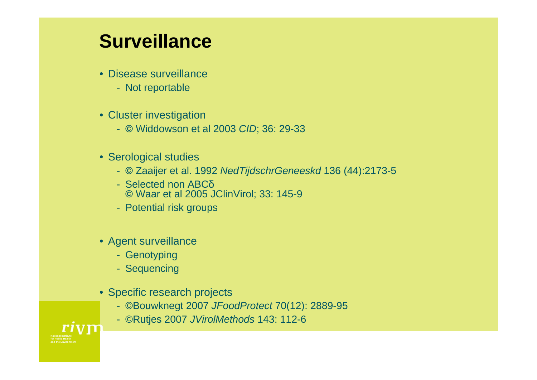### **Surveillance**

- Disease surveillance
	- Not reportable
- Cluster investigation
	- **©** Widdowson et al 2003 *CID*; 36: 29-33
- Serological studies
	- **©** Zaaijer et al. 1992 *NedTijdschrGeneeskd* 136 (44):2173-5
	- Selected non ABCδ**©** Waar et al 2005 JClinVirol; 33: 145-9
	- Potential risk groups
- Agent surveillance
	- Genotyping
	- Sequencing
- Specific research projects
	- ©Bouwknegt 2007 *JFoodProtect* 70(12): 2889-95
	- ©Rutjes 2007 *JVirolMethods* 143: 112-6

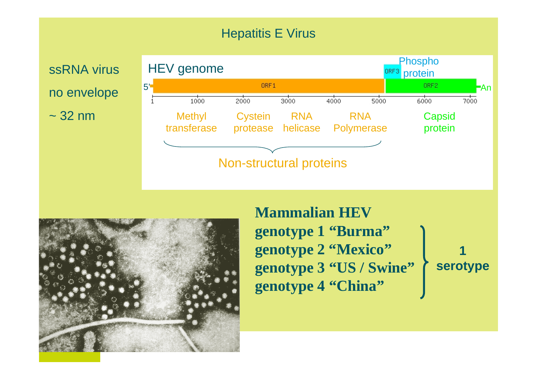### Hepatitis E Virus

ssRNA virusno envelope  $\sim$  32 nm





**Mammalian HEVgenotype 1 "Burma" genotype 2 "Mexico" genotype 3 "US / Swine" genotype 4 "China" 1 serotype**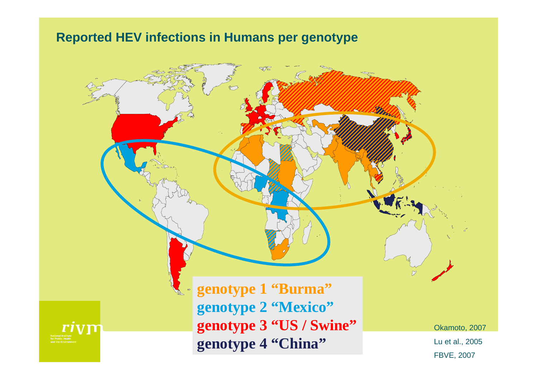#### **Reported HEV infections in Humans per genotype**



FBVE, 2007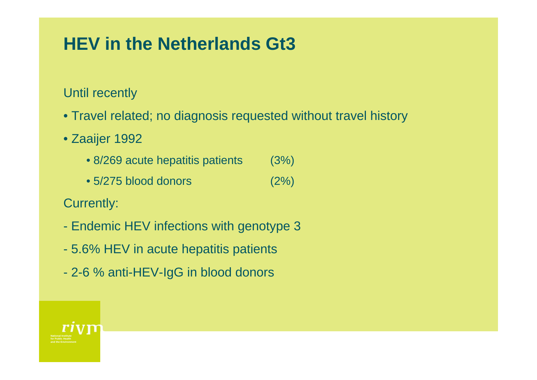### **HEV in the Netherlands Gt3**

Until recently

- Travel related; no diagnosis requested without travel history
- Zaaijer 1992
	- 8/269 acute hepatitis patients (3%)
	- $\bullet$  5/275 blood donors  $(2\%)$
- Currently:
- Endemic HEV infections with genotype 3
- 5.6% HEV in acute hepatitis patients
- -2-6 % anti-HEV-IgG in blood donors

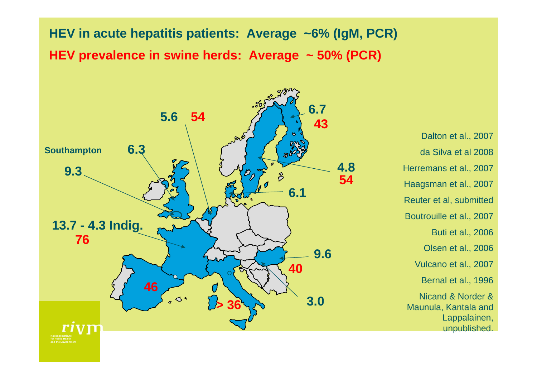**HEV in acute hepatitis patients: Average ~6% (IgM, PCR) HEV prevalence in swine herds: Average ~ 50% (PCR)**



Dalton et al., 2007 da Silva et al 2008Herremans et al., 2007 Haagsman et al., 2007 Reuter et al, submitted Boutrouille et al., 2007 Buti et al., 2006 Olsen et al., 2006 Vulcano et al., 2007 Bernal et al., 1996 Nicand & Norder & Maunula, Kantala and Lappalainen, unpublished.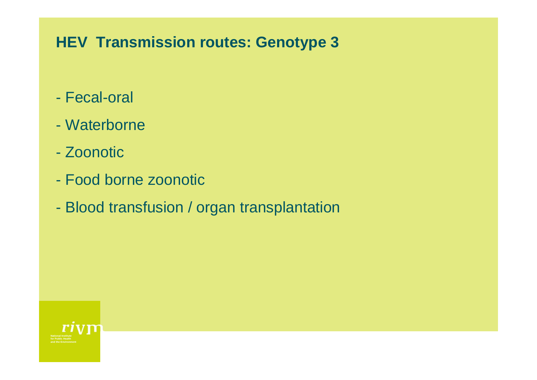### **HEV Transmission routes: Genotype 3**

- Fecal-oral
- Waterborne
- Zoonotic
- Food borne zoonotic
- -Blood transfusion / organ transplantation

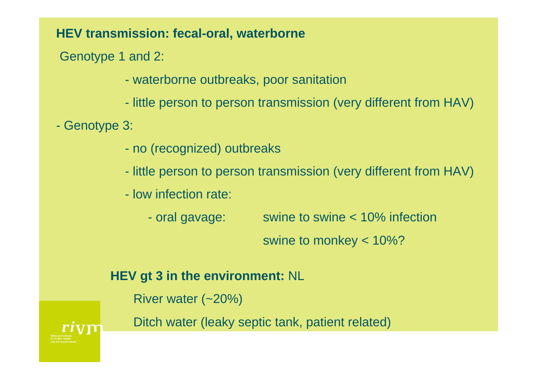#### **HEV transmission: fecal-oral, waterborne**

Genotype 1 and 2:

- waterborne outbreaks, poor sanitation

- little person to person transmission (very different from HAV)

Genotype 3:

- no (recognized) outbreaks
- little person to person transmission (very different from HAV)
- low infection rate:

- oral gavage: swine to swine  $< 10\%$  infection swine to monkey < 10%?

#### **HEV gt 3 in the environment:** NL

River water (~20%)

Ditch water (leaky septic tank, patient related)

**for Public Healthand the Environment**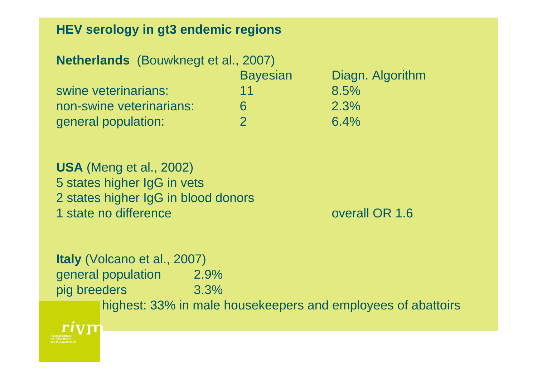#### **HEV serology in gt3 endemic regions**

| <b>Netherlands</b> (Bouwknegt et al., 2007) |                 |                  |
|---------------------------------------------|-----------------|------------------|
|                                             | <b>Bayesian</b> | Diagn. Algorithm |
| swine veterinarians:                        | 11              | 8.5%             |
| non-swine veterinarians:                    | 6               | 2.3%             |
| general population:                         |                 | 6.4%             |

**USA** (Meng et al., 2002) 5 states higher IgG in vets 2 states higher IgG in blood donors 1 state no difference **overall OR** 1.6

**Italy** (Volcano et al., 2007) general population 2.9% pig breeders 3.3% highest: 33% in male housekeepers and employees of abattoirs

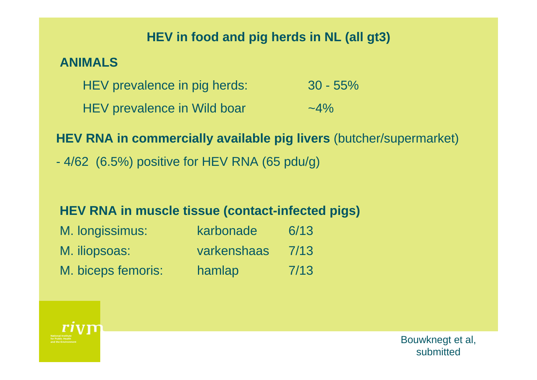#### **HEV in food and pig herds in NL (all gt3)**

#### **ANIMALS**

| HEV prevalence in pig herds: | $30 - 55\%$ |
|------------------------------|-------------|
| HEV prevalence in Wild boar  | $-4\%$      |

### **HEV RNA in commercially available pig livers** (butcher/supermarket)

- 4/62 (6.5%) positive for HEV RNA (65 pdu/g)

#### **HEV RNA in muscle tissue (contact-infected pigs)**

| M. longissimus:    | karbonade   | 6/13 |
|--------------------|-------------|------|
| M. iliopsoas:      | varkenshaas | 7/13 |
| M. biceps femoris: | hamlap      | 7/13 |



Bouwknegt et al, submitted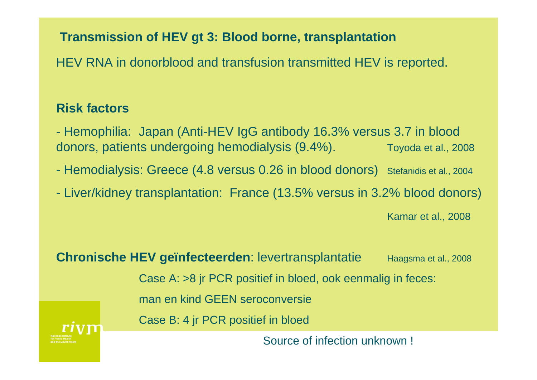#### **Transmission of HEV gt 3: Blood borne, transplantation**

HEV RNA in donorblood and transfusion transmitted HEV is reported.

#### **Risk factors**

- Hemophilia: Japan (Anti-HEV IgG antibody 16.3% versus 3.7 in blood donors, patients undergoing hemodialysis (9.4%). Toyoda et al., 2008

- Hemodialysis: Greece (4.8 versus 0.26 in blood donors) Stefanidis et al., 2004

 $\mathcal{L}_{\mathcal{A}}$ - Liver/kidney transplantation: France (13.5% versus in 3.2% blood donors)

Kamar et al., 2008

**for Public Healthand the EnvironmentChronische HEV geïnfecteerden: levertransplantatie Haagsma et al., 2008** Case A: >8 jr PCR positief in bloed, ook eenmalig in feces: man en kind GEEN seroconversieCase B: 4 jr PCR positief in bloed Source of infection unknown !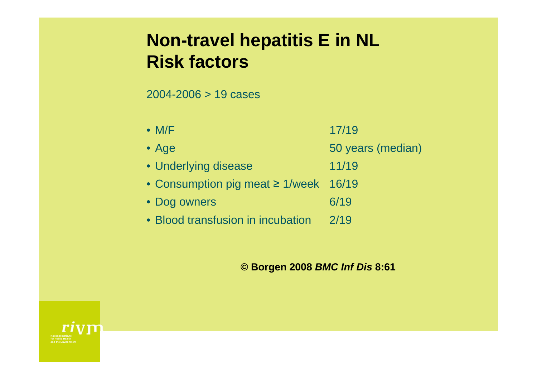### **Non-travel hepatitis E in NL Risk factors**

2004-2006 > 19 cases

| $\bullet$ M/F                              | 17/19             |
|--------------------------------------------|-------------------|
| $\bullet$ Age                              | 50 years (median) |
| • Underlying disease                       | 11/19             |
| • Consumption pig meat $\geq$ 1/week 16/19 |                   |
| • Dog owners                               | 6/19              |
| • Blood transfusion in incubation          | 2/19              |

#### **© Borgen 2008** *BMC Inf Dis* **8:61**

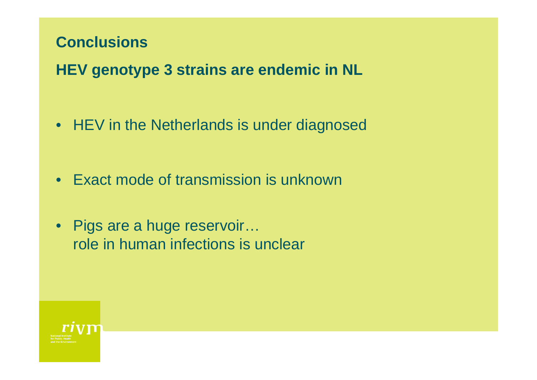### **Conclusions**

**HEV genotype 3 strains are endemic in NL**

• HEV in the Netherlands is under diagnosed

- Exact mode of transmission is unknown
- Pigs are a huge reservoir... role in human infections is unclear